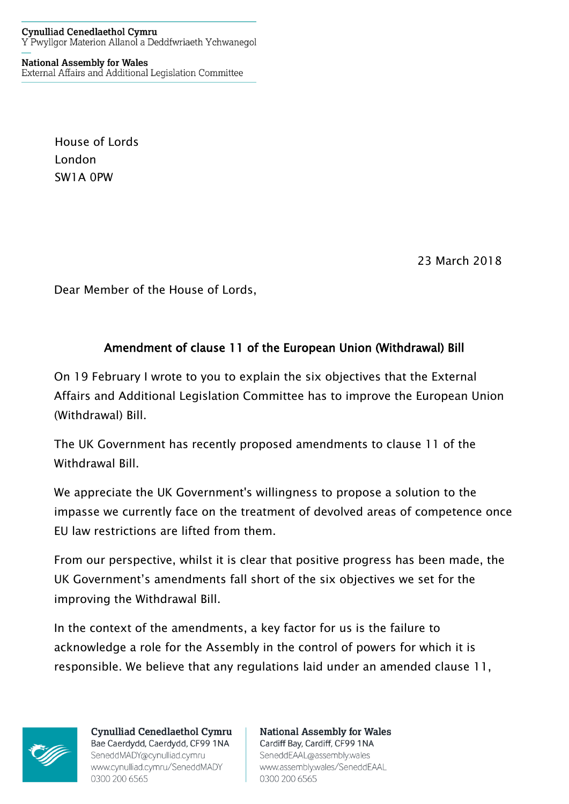**National Assembly for Wales** External Affairs and Additional Legislation Committee

> House of Lords London SW1A 0PW

> > 23 March 2018

Dear Member of the House of Lords,

## Amendment of clause 11 of the European Union (Withdrawal) Bill

On 19 February I wrote to you to explain the six objectives that the External Affairs and Additional Legislation Committee has to improve the European Union (Withdrawal) Bill.

The UK Government has recently proposed amendments to clause 11 of the Withdrawal Bill.

We appreciate the UK Government's willingness to propose a solution to the impasse we currently face on the treatment of devolved areas of competence once EU law restrictions are lifted from them.

From our perspective, whilst it is clear that positive progress has been made, the UK Government's amendments fall short of the six objectives we set for the improving the Withdrawal Bill.

In the context of the amendments, a key factor for us is the failure to acknowledge a role for the Assembly in the control of powers for which it is responsible. We believe that any regulations laid under an amended clause 11,



**Cynulliad Cenedlaethol Cymru** Bae Caerdydd, Caerdydd, CF99 1NA SeneddMADY@cynulliad.cymru www.cynulliad.cymru/SeneddMADY 0300 200 6565

**National Assembly for Wales** Cardiff Bay, Cardiff, CF99 1NA SeneddEAAL@assembly.wales www.assembly.wales/SeneddEAAL 0300 200 6565